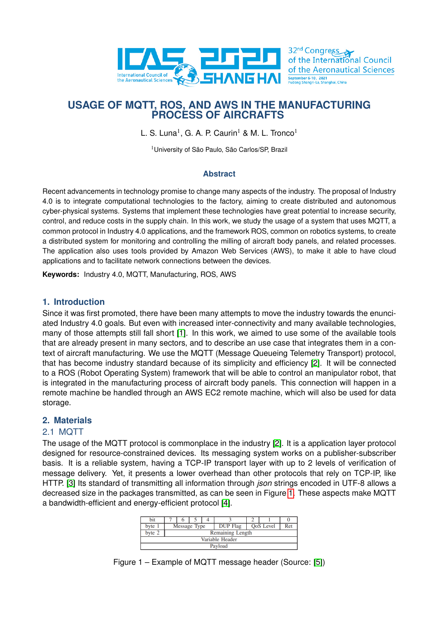

# **USAGE OF MQTT, ROS, AND AWS IN THE MANUFACTURING PROCESS OF AIRCRAFTS**

L. S. Luna<sup>1</sup>, G. A. P. Caurin<sup>1</sup> & M. L. Tronco<sup>1</sup>

<sup>1</sup>University of São Paulo, São Carlos/SP, Brazil

## **Abstract**

Recent advancements in technology promise to change many aspects of the industry. The proposal of Industry 4.0 is to integrate computational technologies to the factory, aiming to create distributed and autonomous cyber-physical systems. Systems that implement these technologies have great potential to increase security, control, and reduce costs in the supply chain. In this work, we study the usage of a system that uses MQTT, a common protocol in Industry 4.0 applications, and the framework ROS, common on robotics systems, to create a distributed system for monitoring and controlling the milling of aircraft body panels, and related processes. The application also uses tools provided by Amazon Web Services (AWS), to make it able to have cloud applications and to facilitate network connections between the devices.

**Keywords:** Industry 4.0, MQTT, Manufacturing, ROS, AWS

### **1. Introduction**

Since it was first promoted, there have been many attempts to move the industry towards the enunciated Industry 4.0 goals. But even with increased inter-connectivity and many available technologies, many of those attempts still fall short [\[1\]](#page-8-0). In this work, we aimed to use some of the available tools that are already present in many sectors, and to describe an use case that integrates them in a context of aircraft manufacturing. We use the MQTT (Message Queueing Telemetry Transport) protocol, that has become industry standard because of its simplicity and efficiency [\[2\]](#page-8-1). It will be connected to a ROS (Robot Operating System) framework that will be able to control an manipulator robot, that is integrated in the manufacturing process of aircraft body panels. This connection will happen in a remote machine be handled through an AWS EC2 remote machine, which will also be used for data storage.

## **2. Materials**

## 2.1 MQTT

<span id="page-0-0"></span>The usage of the MQTT protocol is commonplace in the industry [\[2\]](#page-8-1). It is a application layer protocol designed for resource-constrained devices. Its messaging system works on a publisher-subscriber basis. It is a reliable system, having a TCP-IP transport layer with up to 2 levels of verification of message delivery. Yet, it presents a lower overhead than other protocols that rely on TCP-IP, like HTTP. [\[3\]](#page-8-2) Its standard of transmitting all information through *json* strings encoded in UTF-8 allows a decreased size in the packages transmitted, as can be seen in Figure [1.](#page-0-0) These aspects make MQTT a bandwidth-efficient and energy-efficient protocol [\[4\]](#page-8-3).

| b <sub>1</sub> t |                         |  |  |                 |  |                  |     |  |
|------------------|-------------------------|--|--|-----------------|--|------------------|-----|--|
| byte             | Message Type            |  |  | <b>DUP</b> Flag |  | <b>QoS</b> Level | Ret |  |
| byte 2           | <b>Remaining Length</b> |  |  |                 |  |                  |     |  |
| Variable Header  |                         |  |  |                 |  |                  |     |  |
| Payload          |                         |  |  |                 |  |                  |     |  |

Figure 1 – Example of MQTT message header (Source: [\[5\]](#page-8-4))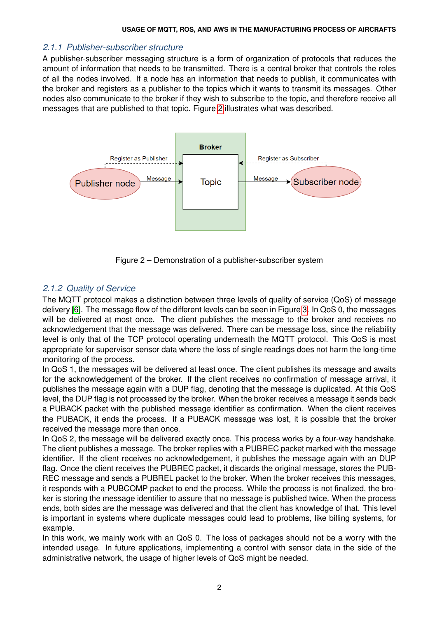## *2.1.1 Publisher-subscriber structure*

A publisher-subscriber messaging structure is a form of organization of protocols that reduces the amount of information that needs to be transmitted. There is a central broker that controls the roles of all the nodes involved. If a node has an information that needs to publish, it communicates with the broker and registers as a publisher to the topics which it wants to transmit its messages. Other nodes also communicate to the broker if they wish to subscribe to the topic, and therefore receive all messages that are published to that topic. Figure [2](#page-1-0) illustrates what was described.

<span id="page-1-0"></span>

Figure 2 – Demonstration of a publisher-subscriber system

## *2.1.2 Quality of Service*

The MQTT protocol makes a distinction between three levels of quality of service (QoS) of message delivery [\[6\]](#page-8-5). The message flow of the different levels can be seen in Figure [3.](#page-2-0) In QoS 0, the messages will be delivered at most once. The client publishes the message to the broker and receives no acknowledgement that the message was delivered. There can be message loss, since the reliability level is only that of the TCP protocol operating underneath the MQTT protocol. This QoS is most appropriate for supervisor sensor data where the loss of single readings does not harm the long-time monitoring of the process.

In QoS 1, the messages will be delivered at least once. The client publishes its message and awaits for the acknowledgement of the broker. If the client receives no confirmation of message arrival, it publishes the message again with a DUP flag, denoting that the message is duplicated. At this QoS level, the DUP flag is not processed by the broker. When the broker receives a message it sends back a PUBACK packet with the published message identifier as confirmation. When the client receives the PUBACK, it ends the process. If a PUBACK message was lost, it is possible that the broker received the message more than once.

In QoS 2, the message will be delivered exactly once. This process works by a four-way handshake. The client publishes a message. The broker replies with a PUBREC packet marked with the message identifier. If the client receives no acknowledgement, it publishes the message again with an DUP flag. Once the client receives the PUBREC packet, it discards the original message, stores the PUB-REC message and sends a PUBREL packet to the broker. When the broker receives this messages, it responds with a PUBCOMP packet to end the process. While the process is not finalized, the broker is storing the message identifier to assure that no message is published twice. When the process ends, both sides are the message was delivered and that the client has knowledge of that. This level is important in systems where duplicate messages could lead to problems, like billing systems, for example.

In this work, we mainly work with an QoS 0. The loss of packages should not be a worry with the intended usage. In future applications, implementing a control with sensor data in the side of the administrative network, the usage of higher levels of QoS might be needed.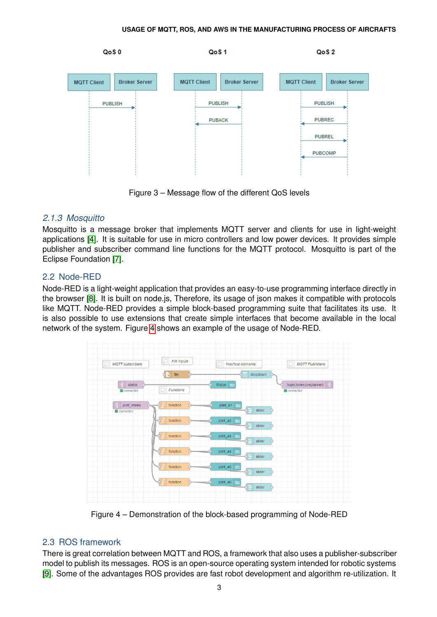<span id="page-2-0"></span>

Figure 3 – Message flow of the different QoS levels

# *2.1.3 Mosquitto*

Mosquitto is a message broker that implements MQTT server and clients for use in light-weight applications [\[4\]](#page-8-3). It is suitable for use in micro controllers and low power devices. It provides simple publisher and subscriber command line functions for the MQTT protocol. Mosquitto is part of the Eclipse Foundation [\[7\]](#page-8-6).

# 2.2 Node-RED

Node-RED is a light-weight application that provides an easy-to-use programming interface directly in the browser [\[8\]](#page-8-7). It is built on node.js, Therefore, its usage of json makes it compatible with protocols like MQTT. Node-RED provides a simple block-based programming suite that facilitates its use. It is also possible to use extensions that create simple interfaces that become available in the local network of the system. Figure [4](#page-2-1) shows an example of the usage of Node-RED.

<span id="page-2-1"></span>

Figure 4 – Demonstration of the block-based programming of Node-RED

# 2.3 ROS framework

There is great correlation between MQTT and ROS, a framework that also uses a publisher-subscriber model to publish its messages. ROS is an open-source operating system intended for robotic systems [\[9\]](#page-8-8). Some of the advantages ROS provides are fast robot development and algorithm re-utilization. It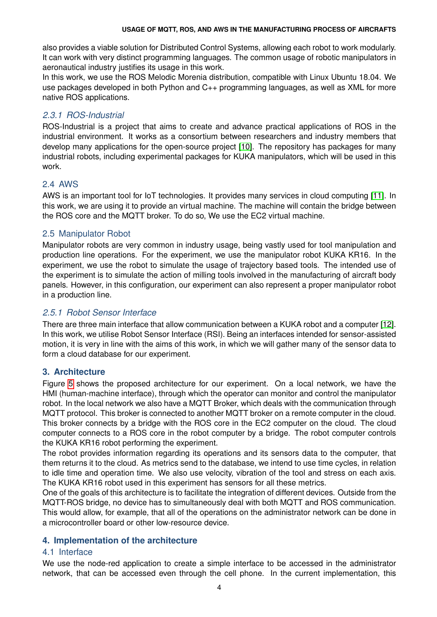#### **USAGE OF MQTT, ROS, AND AWS IN THE MANUFACTURING PROCESS OF AIRCRAFTS**

also provides a viable solution for Distributed Control Systems, allowing each robot to work modularly. It can work with very distinct programming languages. The common usage of robotic manipulators in aeronautical industry justifies its usage in this work.

In this work, we use the ROS Melodic Morenia distribution, compatible with Linux Ubuntu 18.04. We use packages developed in both Python and C++ programming languages, as well as XML for more native ROS applications.

## *2.3.1 ROS-Industrial*

ROS-Industrial is a project that aims to create and advance practical applications of ROS in the industrial environment. It works as a consortium between researchers and industry members that develop many applications for the open-source project [\[10\]](#page-8-9). The repository has packages for many industrial robots, including experimental packages for KUKA manipulators, which will be used in this work.

## 2.4 AWS

AWS is an important tool for IoT technologies. It provides many services in cloud computing [\[11\]](#page-8-10). In this work, we are using it to provide an virtual machine. The machine will contain the bridge between the ROS core and the MQTT broker. To do so, We use the EC2 virtual machine.

## 2.5 Manipulator Robot

Manipulator robots are very common in industry usage, being vastly used for tool manipulation and production line operations. For the experiment, we use the manipulator robot KUKA KR16. In the experiment, we use the robot to simulate the usage of trajectory based tools. The intended use of the experiment is to simulate the action of milling tools involved in the manufacturing of aircraft body panels. However, in this configuration, our experiment can also represent a proper manipulator robot in a production line.

## *2.5.1 Robot Sensor Interface*

There are three main interface that allow communication between a KUKA robot and a computer [\[12\]](#page-8-11). In this work, we utilise Robot Sensor Interface (RSI). Being an interfaces intended for sensor-assisted motion, it is very in line with the aims of this work, in which we will gather many of the sensor data to form a cloud database for our experiment.

## **3. Architecture**

Figure [5](#page-4-0) shows the proposed architecture for our experiment. On a local network, we have the HMI (human-machine interface), through which the operator can monitor and control the manipulator robot. In the local network we also have a MQTT Broker, which deals with the communication through MQTT protocol. This broker is connected to another MQTT broker on a remote computer in the cloud. This broker connects by a bridge with the ROS core in the EC2 computer on the cloud. The cloud computer connects to a ROS core in the robot computer by a bridge. The robot computer controls the KUKA KR16 robot performing the experiment.

The robot provides information regarding its operations and its sensors data to the computer, that them returns it to the cloud. As metrics send to the database, we intend to use time cycles, in relation to idle time and operation time. We also use velocity, vibration of the tool and stress on each axis. The KUKA KR16 robot used in this experiment has sensors for all these metrics.

One of the goals of this architecture is to facilitate the integration of different devices. Outside from the MQTT-ROS bridge, no device has to simultaneously deal with both MQTT and ROS communication. This would allow, for example, that all of the operations on the administrator network can be done in a microcontroller board or other low-resource device.

### **4. Implementation of the architecture**

## 4.1 Interface

We use the node-red application to create a simple interface to be accessed in the administrator network, that can be accessed even through the cell phone. In the current implementation, this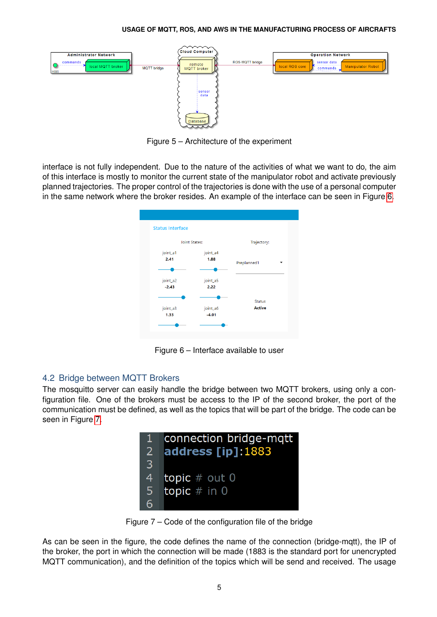#### **USAGE OF MQTT, ROS, AND AWS IN THE MANUFACTURING PROCESS OF AIRCRAFTS**

<span id="page-4-0"></span>

Figure 5 – Architecture of the experiment

<span id="page-4-1"></span>interface is not fully independent. Due to the nature of the activities of what we want to do, the aim of this interface is mostly to monitor the current state of the manipulator robot and activate previously planned trajectories. The proper control of the trajectories is done with the use of a personal computer in the same network where the broker resides. An example of the interface can be seen in Figure [6.](#page-4-1)

| <b>Status Interface</b> |                      |               |  |  |
|-------------------------|----------------------|---------------|--|--|
|                         | <b>Joint States:</b> | Trajectory:   |  |  |
| joint_a1                | joint_a4             |               |  |  |
| 2.41                    | 1.88                 | Preplanned1   |  |  |
|                         |                      |               |  |  |
| joint_a2                | joint_a5             |               |  |  |
| $-2.43$                 | 2.22                 |               |  |  |
|                         |                      | <b>Status</b> |  |  |
| joint_a3                | joint_a6             | <b>Active</b> |  |  |
| 1.33                    | $-4.01$              |               |  |  |
|                         |                      |               |  |  |
|                         |                      |               |  |  |

Figure 6 – Interface available to user

## 4.2 Bridge between MQTT Brokers

<span id="page-4-2"></span>The mosquitto server can easily handle the bridge between two MQTT brokers, using only a configuration file. One of the brokers must be access to the IP of the second broker, the port of the communication must be defined, as well as the topics that will be part of the bridge. The code can be seen in Figure [7.](#page-4-2)



Figure 7 – Code of the configuration file of the bridge

As can be seen in the figure, the code defines the name of the connection (bridge-mqtt), the IP of the broker, the port in which the connection will be made (1883 is the standard port for unencrypted MQTT communication), and the definition of the topics which will be send and received. The usage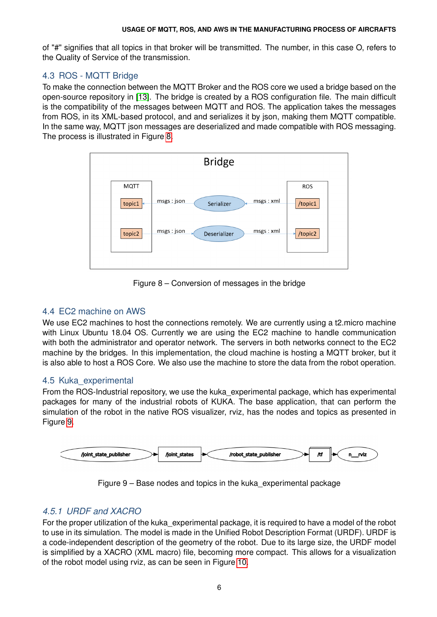of "#" signifies that all topics in that broker will be transmitted. The number, in this case O, refers to the Quality of Service of the transmission.

# 4.3 ROS - MQTT Bridge

To make the connection between the MQTT Broker and the ROS core we used a bridge based on the open-source repository in [\[13\]](#page-8-12). The bridge is created by a ROS configuration file. The main difficult is the compatibility of the messages between MQTT and ROS. The application takes the messages from ROS, in its XML-based protocol, and and serializes it by json, making them MQTT compatible. In the same way, MQTT json messages are deserialized and made compatible with ROS messaging. The process is illustrated in Figure [8.](#page-5-0)

<span id="page-5-0"></span>

Figure 8 – Conversion of messages in the bridge

## 4.4 EC2 machine on AWS

We use EC2 machines to host the connections remotely. We are currently using a t2. micro machine with Linux Ubuntu 18.04 OS. Currently we are using the EC2 machine to handle communication with both the administrator and operator network. The servers in both networks connect to the EC2 machine by the bridges. In this implementation, the cloud machine is hosting a MQTT broker, but it is also able to host a ROS Core. We also use the machine to store the data from the robot operation.

## 4.5 Kuka\_experimental

From the ROS-Industrial repository, we use the kuka\_experimental package, which has experimental packages for many of the industrial robots of KUKA. The base application, that can perform the simulation of the robot in the native ROS visualizer, rviz, has the nodes and topics as presented in Figure [9.](#page-5-1)

<span id="page-5-1"></span>



## *4.5.1 URDF and XACRO*

For the proper utilization of the kuka\_experimental package, it is required to have a model of the robot to use in its simulation. The model is made in the Unified Robot Description Format (URDF). URDF is a code-independent description of the geometry of the robot. Due to its large size, the URDF model is simplified by a XACRO (XML macro) file, becoming more compact. This allows for a visualization of the robot model using rviz, as can be seen in Figure [10.](#page-6-0)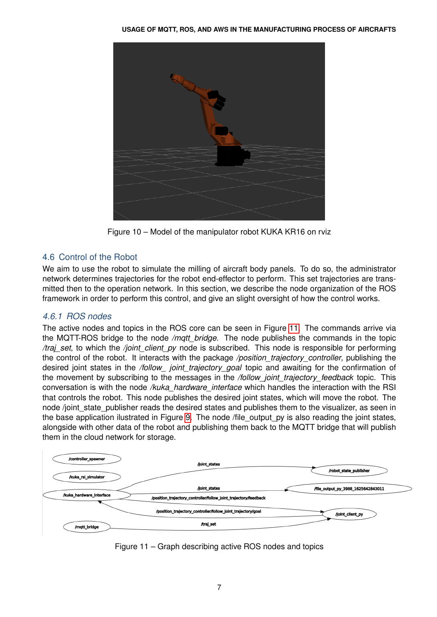<span id="page-6-0"></span>

Figure 10 – Model of the manipulator robot KUKA KR16 on rviz

## 4.6 Control of the Robot

We aim to use the robot to simulate the milling of aircraft body panels. To do so, the administrator network determines trajectories for the robot end-effector to perform. This set trajectories are transmitted then to the operation network. In this section, we describe the node organization of the ROS framework in order to perform this control, and give an slight oversight of how the control works.

## *4.6.1 ROS nodes*

The active nodes and topics in the ROS core can be seen in Figure [11.](#page-6-1) The commands arrive via the MQTT-ROS bridge to the node */mqtt\_bridge*. The node publishes the commands in the topic */traj\_set*, to which the */joint\_client\_py* node is subscribed. This node is responsible for performing the control of the robot. It interacts with the package */position\_trajectory\_controller*, publishing the desired joint states in the */follow\_ joint\_trajectory\_goal* topic and awaiting for the confirmation of the movement by subscribing to the messages in the */follow\_joint\_trajectory\_feedback* topic. This conversation is with the node */kuka\_hardware\_interface* which handles the interaction with the RSI that controls the robot. This node publishes the desired joint states, which will move the robot. The node /joint state publisher reads the desired states and publishes them to the visualizer, as seen in the base application ilustrated in Figure [9.](#page-5-1) The node /file\_output\_py is also reading the joint states, alongside with other data of the robot and publishing them back to the MQTT bridge that will publish them in the cloud network for storage.

<span id="page-6-1"></span>

Figure 11 – Graph describing active ROS nodes and topics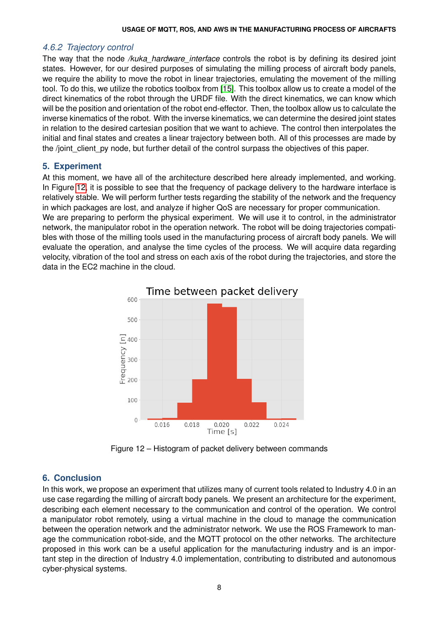### *4.6.2 Trajectory control*

The way that the node */kuka\_hardware\_interface* controls the robot is by defining its desired joint states. However, for our desired purposes of simulating the milling process of aircraft body panels, we require the ability to move the robot in linear trajectories, emulating the movement of the milling tool. To do this, we utilize the robotics toolbox from [\[15\]](#page-8-13). This toolbox allow us to create a model of the direct kinematics of the robot through the URDF file. With the direct kinematics, we can know which will be the position and orientation of the robot end-effector. Then, the toolbox allow us to calculate the inverse kinematics of the robot. With the inverse kinematics, we can determine the desired joint states in relation to the desired cartesian position that we want to achieve. The control then interpolates the initial and final states and creates a linear trajectory between both. All of this processes are made by the /joint client py node, but further detail of the control surpass the objectives of this paper.

## **5. Experiment**

At this moment, we have all of the architecture described here already implemented, and working. In Figure [12,](#page-7-0) it is possible to see that the frequency of package delivery to the hardware interface is relatively stable. We will perform further tests regarding the stability of the network and the frequency in which packages are lost, and analyze if higher QoS are necessary for proper communication.

<span id="page-7-0"></span>We are preparing to perform the physical experiment. We will use it to control, in the administrator network, the manipulator robot in the operation network. The robot will be doing trajectories compatibles with those of the milling tools used in the manufacturing process of aircraft body panels. We will evaluate the operation, and analyse the time cycles of the process. We will acquire data regarding velocity, vibration of the tool and stress on each axis of the robot during the trajectories, and store the data in the EC2 machine in the cloud.



Figure 12 – Histogram of packet delivery between commands

## **6. Conclusion**

In this work, we propose an experiment that utilizes many of current tools related to Industry 4.0 in an use case regarding the milling of aircraft body panels. We present an architecture for the experiment, describing each element necessary to the communication and control of the operation. We control a manipulator robot remotely, using a virtual machine in the cloud to manage the communication between the operation network and the administrator network. We use the ROS Framework to manage the communication robot-side, and the MQTT protocol on the other networks. The architecture proposed in this work can be a useful application for the manufacturing industry and is an important step in the direction of Industry 4.0 implementation, contributing to distributed and autonomous cyber-physical systems.